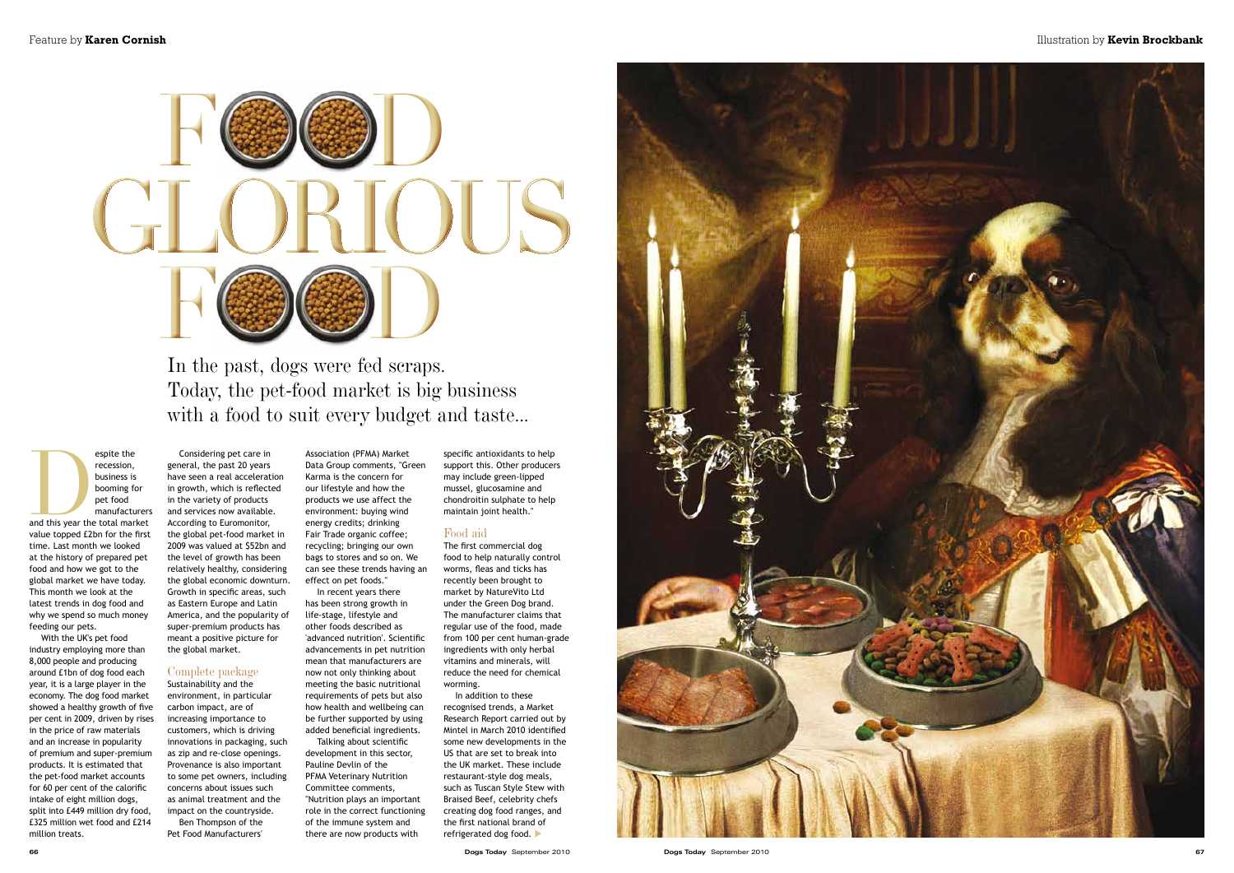recession, business is

Expite the<br>
recession,<br>
business is<br>
booming for<br>
pet food<br>
manufacturers<br>
and this year the total market booming for pet food manufacturers value topped £2bn for the first time. Last month we looked at the history of prepared pet food and how we got to the global market we have today. This month we look at the latest trends in dog food and why we spend so much money feeding our pets.

With the UK's pet food industry employing more than 8,000 people and producing around £1bn of dog food each year, it is a large player in the economy. The dog food market showed a healthy growth of five per cent in 2009, driven by rises in the price of raw materials and an increase in popularity of premium and super-premium products. It is estimated that the pet-food market accounts for 60 per cent of the calorific intake of eight million dogs, split into £449 million dry food, £325 million wet food and £214 million treats.

#### Complete package Sustainability and the

Considering pet care in general, the past 20 years have seen a real acceleration in growth, which is reflected in the variety of products and services now available. According to Euromonitor, the global pet-food market in 2009 was valued at \$52bn and the level of growth has been relatively healthy, considering the global economic downturn. Growth in specific areas, such as Eastern Europe and Latin America, and the popularity of super-premium products has meant a positive picture for the global market.

environment, in particular carbon impact, are of increasing importance to customers, which is driving innovations in packaging, such as zip and re-close openings. Provenance is also important to some pet owners, including concerns about issues such as animal treatment and the impact on the countryside. Ben Thompson of the

Pet Food Manufacturers'

## In the past, dogs were fed scraps. Today, the pet-food market is big business with a food to suit every budget and taste...

Association (PFMA) Market Data Group comments, "Green Karma is the concern for our lifestyle and how the products we use affect the environment: buying wind energy credits; drinking Fair Trade organic coffee; recycling; bringing our own bags to stores and so on. We can see these trends having an effect on pet foods."

In recent years there has been strong growth in life-stage, lifestyle and other foods described as 'advanced nutrition'. Scientific advancements in pet nutrition mean that manufacturers are now not only thinking about meeting the basic nutritional requirements of pets but also how health and wellbeing can be further supported by using added beneficial ingredients.

Talking about scientific development in this sector, Pauline Devlin of the PFMA Veterinary Nutrition Committee comments, "Nutrition plays an important role in the correct functioning of the immune system and there are now products with

specific antioxidants to help support this. Other producers may include green-lipped mussel, glucosamine and chondroitin sulphate to help maintain joint health."

## Food aid

The first commercial dog food to help naturally control worms, fleas and ticks has recently been brought to market by NatureVito Ltd under the Green Dog brand. The manufacturer claims that regular use of the food, made from 100 per cent human-grade ingredients with only herbal vitamins and minerals, will reduce the need for chemical worming.

In addition to these recognised trends, a Market Research Report carried out by Mintel in March 2010 identified some new developments in the US that are set to break into the UK market. These include restaurant-style dog meals, such as Tuscan Style Stew with Braised Beef, celebrity chefs creating dog food ranges, and the first national brand of refrigerated dog food.



## Feature by **Karen Cornish** Illustration by **Kevin Brockbank**

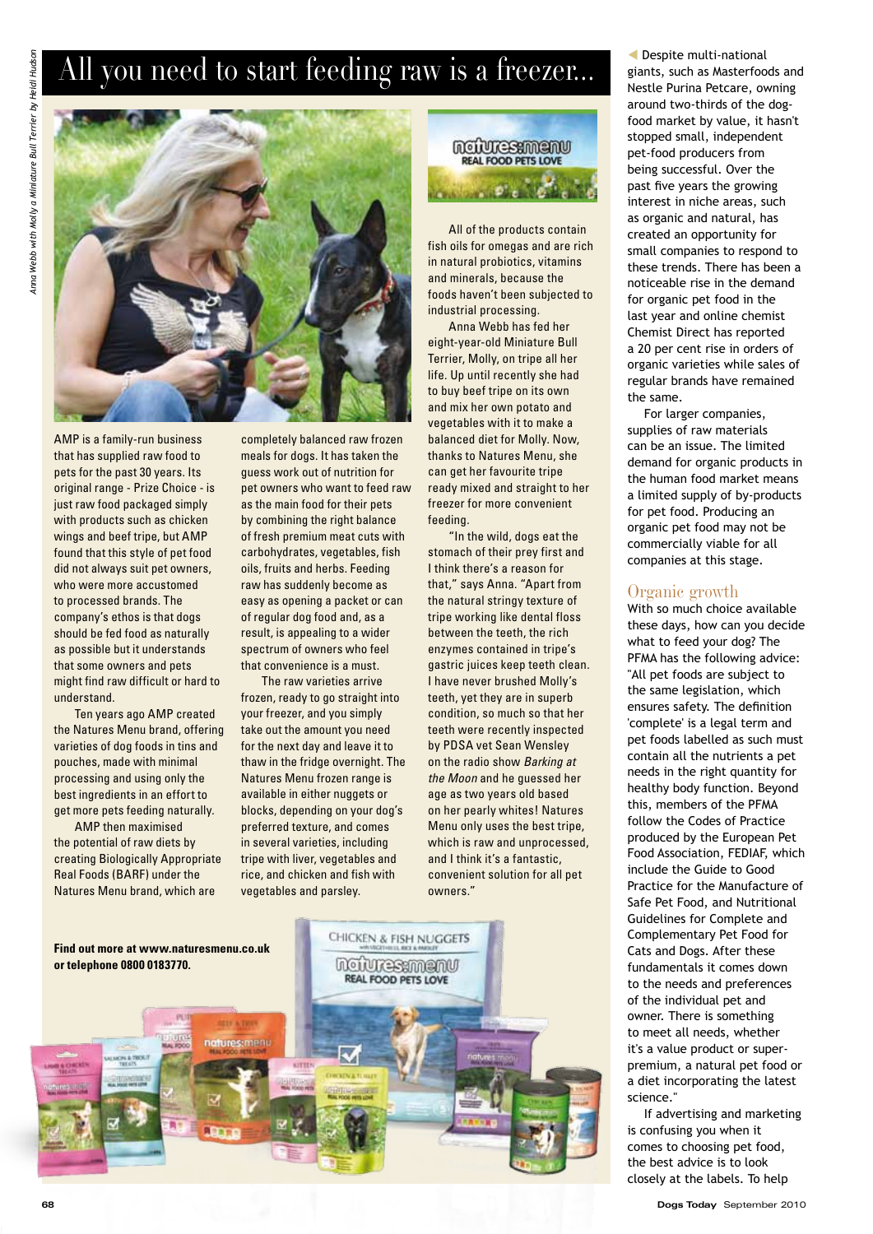## All you need to start feeding raw is a freezer...



AMP is a family-run business that has supplied raw food to pets for the past 30 years. Its original range - Prize Choice - is just raw food packaged simply with products such as chicken wings and beef tripe, but AMP found that this style of pet food did not always suit pet owners, who were more accustomed to processed brands. The company's ethos is that dogs should be fed food as naturally as possible but it understands that some owners and pets might find raw difficult or hard to understand.

Ten years ago AMP created the Natures Menu brand, offering varieties of dog foods in tins and pouches, made with minimal processing and using only the best ingredients in an effort to get more pets feeding naturally.

AMP then maximised the potential of raw diets by creating Biologically Appropriate Real Foods (BARF) under the Natures Menu brand, which are

completely balanced raw frozen meals for dogs. It has taken the guess work out of nutrition for pet owners who want to feed raw as the main food for their pets by combining the right balance of fresh premium meat cuts with carbohydrates, vegetables, fish oils, fruits and herbs. Feeding raw has suddenly become as easy as opening a packet or can of regular dog food and, as a result, is appealing to a wider spectrum of owners who feel that convenience is a must.

The raw varieties arrive frozen, ready to go straight into your freezer, and you simply take out the amount you need for the next day and leave it to thaw in the fridge overnight. The Natures Menu frozen range is available in either nuggets or blocks, depending on your dog's preferred texture, and comes in several varieties, including tripe with liver, vegetables and rice, and chicken and fish with vegetables and parsley.

ncivresamenv REAL FOOD PETS LOVE

All of the products contain fish oils for omegas and are rich in natural probiotics, vitamins and minerals, because the foods haven't been subjected to industrial processing.

Anna Webb has fed her eight-year-old Miniature Bull Terrier, Molly, on tripe all her life. Up until recently she had to buy beef tripe on its own and mix her own potato and vegetables with it to make a balanced diet for Molly. Now, thanks to Natures Menu, she can get her favourite tripe ready mixed and straight to her freezer for more convenient feeding.

"In the wild, dogs eat the stomach of their prey first and I think there's a reason for that," says Anna. "Apart from the natural stringy texture of tripe working like dental floss between the teeth, the rich enzymes contained in tripe's gastric juices keep teeth clean. I have never brushed Molly's teeth, yet they are in superb condition, so much so that her teeth were recently inspected by PDSA vet Sean Wensley on the radio show *Barking at the Moon* and he guessed her age as two years old based on her pearly whites! Natures Menu only uses the best tripe, which is raw and unprocessed, and I think it's a fantastic, convenient solution for all pet owners."



 Despite multi-national giants, such as Masterfoods and Nestle Purina Petcare, owning around two-thirds of the dogfood market by value, it hasn't stopped small, independent pet-food producers from being successful. Over the past five years the growing interest in niche areas, such as organic and natural, has created an opportunity for small companies to respond to these trends. There has been a noticeable rise in the demand for organic pet food in the last year and online chemist Chemist Direct has reported a 20 per cent rise in orders of organic varieties while sales of regular brands have remained the same.

For larger companies, supplies of raw materials can be an issue. The limited demand for organic products in the human food market means a limited supply of by-products for pet food. Producing an organic pet food may not be commercially viable for all companies at this stage.

#### Organic growth

With so much choice available these days, how can you decide what to feed your dog? The PFMA has the following advice: "All pet foods are subject to the same legislation, which ensures safety. The definition 'complete' is a legal term and pet foods labelled as such must contain all the nutrients a pet needs in the right quantity for healthy body function. Beyond this, members of the PFMA follow the Codes of Practice produced by the European Pet Food Association, FEDIAF, which include the Guide to Good Practice for the Manufacture of Safe Pet Food, and Nutritional Guidelines for Complete and Complementary Pet Food for Cats and Dogs. After these fundamentals it comes down to the needs and preferences of the individual pet and owner. There is something to meet all needs, whether it's a value product or superpremium, a natural pet food or a diet incorporating the latest science."

If advertising and marketing is confusing you when it comes to choosing pet food, the best advice is to look closely at the labels. To help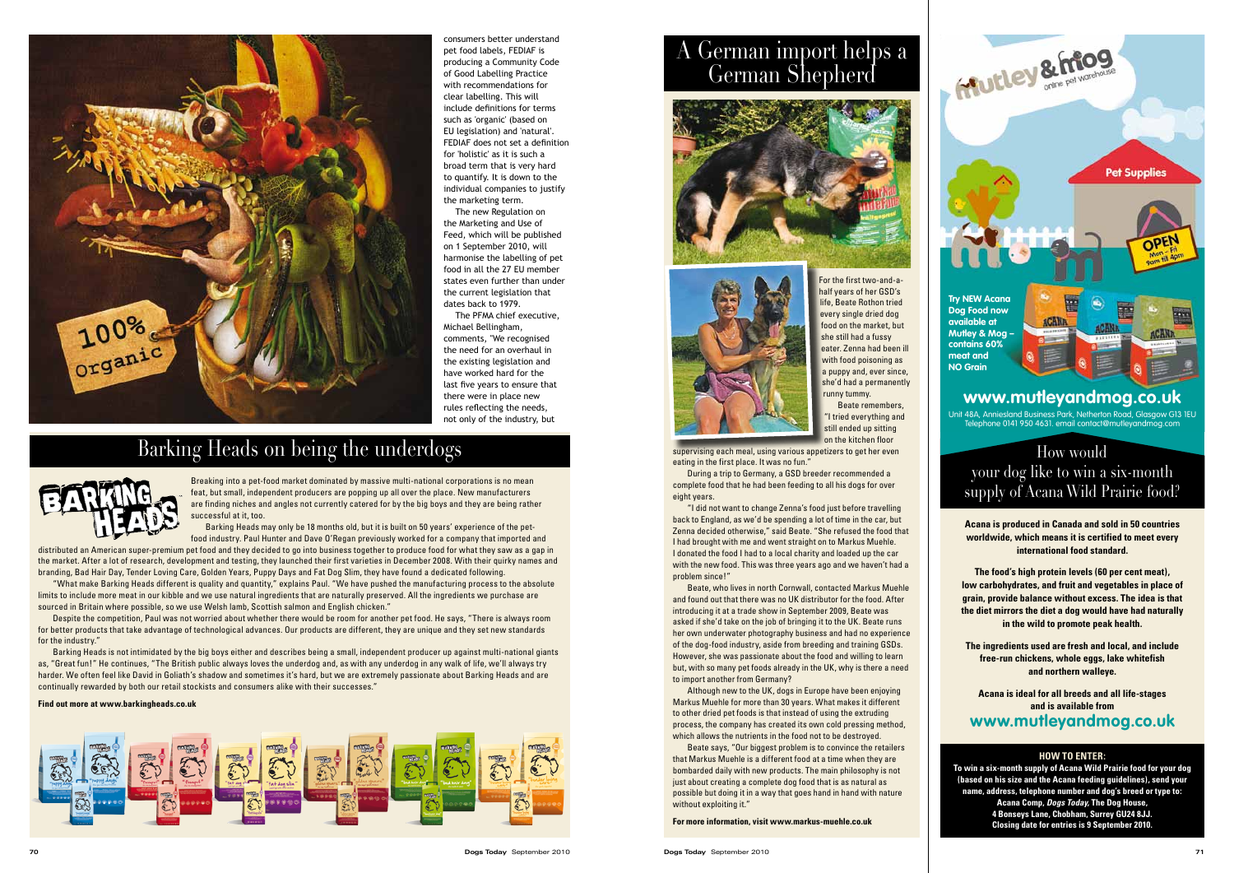Breaking into a pet-food market dominated by massive multi-national corporations is no mean feat, but small, independent producers are popping up all over the place. New manufacturers are finding niches and angles not currently catered for by the big boys and they are being rather successful at it, too.

Barking Heads may only be 18 months old, but it is built on 50 years' experience of the petfood industry. Paul Hunter and Dave O'Regan previously worked for a company that imported and

distributed an American super-premium pet food and they decided to go into business together to produce food for what they saw as a gap in the market. After a lot of research, development and testing, they launched their first varieties in December 2008. With their quirky names and branding, Bad Hair Day, Tender Loving Care, Golden Years, Puppy Days and Fat Dog Slim, they have found a dedicated following.

"What make Barking Heads different is quality and quantity," explains Paul. "We have pushed the manufacturing process to the absolute limits to include more meat in our kibble and we use natural ingredients that are naturally preserved. All the ingredients we purchase are sourced in Britain where possible, so we use Welsh lamb, Scottish salmon and English chicken."

Despite the competition, Paul was not worried about whether there would be room for another pet food. He says, "There is always room for better products that take advantage of technological advances. Our products are different, they are unique and they set new standards for the industry."

Barking Heads is not intimidated by the big boys either and describes being a small, independent producer up against multi-national giants as, "Great fun!" He continues, "The British public always loves the underdog and, as with any underdog in any walk of life, we'll always try harder. We often feel like David in Goliath's shadow and sometimes it's hard, but we are extremely passionate about Barking Heads and are continually rewarded by both our retail stockists and consumers alike with their successes."

> Beate says, "Our biggest problem is to convince the retailers that Markus Muehle is a different food at a time when they are bombarded daily with new products. The main philosophy is not just about creating a complete dog food that is as natural as possible but doing it in a way that goes hand in hand with nature without exploiting it."

#### **Find out more at www.barkingheads.co.uk**





## Barking Heads on being the underdogs





For the first two-and-ahalf years of her GSD's life, Beate Rothon tried every single dried dog food on the market, but she still had a fussy eater. Zenna had been ill with food poisoning as a puppy and, ever since, she'd had a permanently runny tummy.

Beate remembers, "I tried everything and still ended up sitting on the kitchen floor

supervising each meal, using various appetizers to get her even eating in the first place. It was no fun."

During a trip to Germany, a GSD breeder recommended a complete food that he had been feeding to all his dogs for over eight years.

"I did not want to change Zenna's food just before travelling back to England, as we'd be spending a lot of time in the car, but Zenna decided otherwise," said Beate. "She refused the food that I had brought with me and went straight on to Markus Muehle. I donated the food I had to a local charity and loaded up the car with the new food. This was three years ago and we haven't had a problem since!"

Beate, who lives in north Cornwall, contacted Markus Muehle and found out that there was no UK distributor for the food. After introducing it at a trade show in September 2009, Beate was asked if she'd take on the job of bringing it to the UK. Beate runs her own underwater photography business and had no experience of the dog-food industry, aside from breeding and training GSDs. However, she was passionate about the food and willing to learn but, with so many pet foods already in the UK, why is there a need to import another from Germany?

Although new to the UK, dogs in Europe have been enjoying Markus Muehle for more than 30 years. What makes it different to other dried pet foods is that instead of using the extruding process, the company has created its own cold pressing method, which allows the nutrients in the food not to be destroyed.

**For more information, visit www.markus-muehle.co.uk**

# A German import helps a German Shepherd





**www.mutleyandmog.co.uk** Unit 48A, Anniesland Business Park, Netherton Road, Glasgow G13 1EU Telephone 0141 950 4631. email contact@mutleyandmog.com

**Try NEW Acana Dog Food now available at Mutley & Mog contains 60% meat and NO Grain**



consumers better understand pet food labels, FEDIAF is producing a Community Code of Good Labelling Practice with recommendations for clear labelling. This will include definitions for terms such as 'organic' (based on EU legislation) and 'natural'. FEDIAF does not set a definition for 'holistic' as it is such a broad term that is very hard to quantify. It is down to the individual companies to justify the marketing term.

The new Regulation on the Marketing and Use of Feed, which will be published on 1 September 2010, will harmonise the labelling of pet food in all the 27 EU member states even further than under the current legislation that dates back to 1979.

The PFMA chief executive, Michael Bellingham, comments, "We recognised the need for an overhaul in the existing legislation and have worked hard for the last five years to ensure that there were in place new rules reflecting the needs, not only of the industry, but

> **Acana is produced in Canada and sold in 50 countries worldwide, which means it is certified to meet every international food standard.**

**The food's high protein levels (60 per cent meat), low carbohydrates, and fruit and vegetables in place of grain, provide balance without excess. The idea is that the diet mirrors the diet a dog would have had naturally in the wild to promote peak health.**

**The ingredients used are fresh and local, and include free-run chickens, whole eggs, lake whitefish and northern walleye.**

**Acana is ideal for all breeds and all life-stages and is available from** 

**www.mutleyandmog.co.uk**

## How would your dog like to win a six-month supply of Acana Wild Prairie food?

### **HOW TO ENTER:**

**To win a six-month supply of Acana Wild Prairie food for your dog (based on his size and the Acana feeding guidelines), send your name, address, telephone number and dog's breed or type to: Acana Comp,** *Dogs Today,* **The Dog House, 4 Bonseys Lane, Chobham, Surrey GU24 8JJ. Closing date for entries is 9 September 2010.**